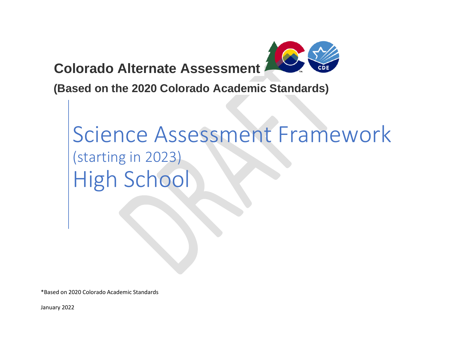**Colorado Alternate Assessment** 



**(Based on the 2020 Colorado Academic Standards)**

# Science Assessment Framework (starting in 2023) High School

\*Based on 2020 Colorado Academic Standards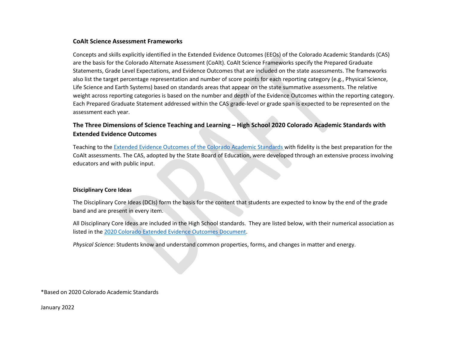## **CoAlt Science Assessment Frameworks**

Concepts and skills explicitly identified in the Extended Evidence Outcomes (EEOs) of the Colorado Academic Standards (CAS) are the basis for the Colorado Alternate Assessment (CoAlt). CoAlt Science Frameworks specify the Prepared Graduate Statements, Grade Level Expectations, and Evidence Outcomes that are included on the state assessments. The frameworks also list the target percentage representation and number of score points for each reporting category (e.g., Physical Science, Life Science and Earth Systems) based on standards areas that appear on the state summative assessments. The relative weight across reporting categories is based on the number and depth of the Evidence Outcomes within the reporting category. Each Prepared Graduate Statement addressed within the CAS grade-level or grade span is expected to be represented on the assessment each year.

# **The Three Dimensions of Science Teaching and Learning – High School 2020 Colorado Academic Standards with Extended Evidence Outcomes**

Teaching to th[e Extended Evidence Outcomes of the Colorado Academic Standards w](https://www.cde.state.co.us/coextendedeo)ith fidelity is the best preparation for the CoAlt assessments. The CAS, adopted by the State Board of Education, were developed through an extensive process involving educators and with public input.

#### **Disciplinary Core Ideas**

The Disciplinary Core Ideas (DCIs) form the basis for the content that students are expected to know by the end of the grade band and are present in every item.

All Disciplinary Core Ideas are included in the High School standards. They are listed below, with their numerical association as listed in the [2020 Colorado Extended Evidence Outcomes Document.](https://www.cde.state.co.us/coextendedeo/eeo-science)

*Physical Science*: Students know and understand common properties, forms, and changes in matter and energy.

\*Based on 2020 Colorado Academic Standards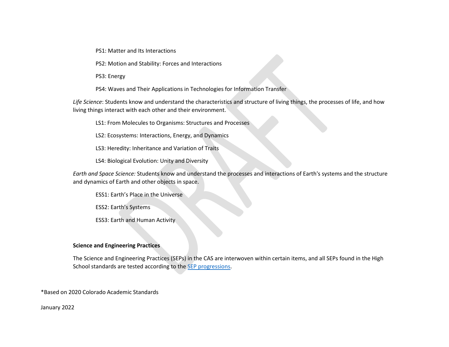PS1: Matter and Its Interactions

PS2: Motion and Stability: Forces and Interactions

PS3: Energy

PS4: Waves and Their Applications in Technologies for Information Transfer

*Life Science*: Students know and understand the characteristics and structure of living things, the processes of life, and how living things interact with each other and their environment.

LS1: From Molecules to Organisms: Structures and Processes

LS2: Ecosystems: Interactions, Energy, and Dynamics

LS3: Heredity: Inheritance and Variation of Traits

LS4: Biological Evolution: Unity and Diversity

*Earth and Space Science:* Students know and understand the processes and interactions of Earth's systems and the structure and dynamics of Earth and other objects in space.

ESS1: Earth's Place in the Universe

ESS2: Earth's Systems

ESS3: Earth and Human Activity

#### **Science and Engineering Practices**

The Science and Engineering Practices (SEPs) in the CAS are interwoven within certain items, and all SEPs found in the High School standards are tested according to the **SEP** progressions.

\*Based on 2020 Colorado Academic Standards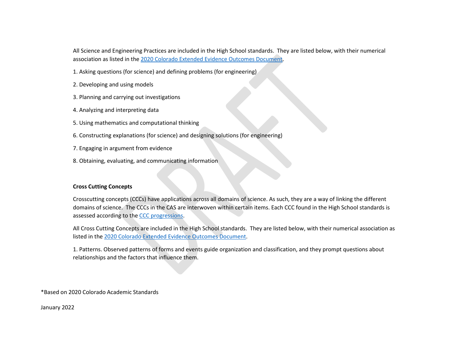All Science and Engineering Practices are included in the High School standards. They are listed below, with their numerical association as listed in the [2020 Colorado Extended Evidence Outcomes Document.](https://www.cde.state.co.us/coextendedeo/eeo-science)

1. Asking questions (for science) and defining problems (for engineering)

- 2. Developing and using models
- 3. Planning and carrying out investigations
- 4. Analyzing and interpreting data
- 5. Using mathematics and computational thinking
- 6. Constructing explanations (for science) and designing solutions (for engineering)
- 7. Engaging in argument from evidence
- 8. Obtaining, evaluating, and communicating information

#### **Cross Cutting Concepts**

Crosscutting concepts (CCCs) have applications across all domains of science. As such, they are a way of linking the different domains of science. The CCCs in the CAS are interwoven within certain items. Each CCC found in the High School standards is assessed according to the [CCC progressions.](https://www.cde.state.co.us/coscience/ccprogressions)

All Cross Cutting Concepts are included in the High School standards. They are listed below, with their numerical association as listed in the [2020 Colorado Extended Evidence Outcomes Document.](https://www.cde.state.co.us/coextendedeo/eeo-science)

1. Patterns. Observed patterns of forms and events guide organization and classification, and they prompt questions about relationships and the factors that influence them.

\*Based on 2020 Colorado Academic Standards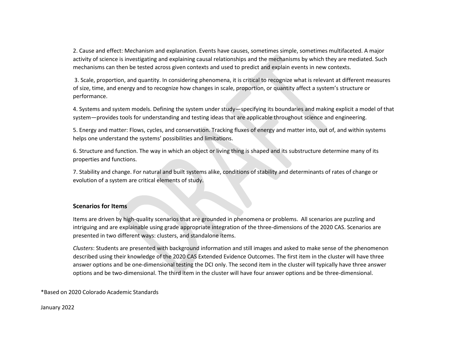2. Cause and effect: Mechanism and explanation. Events have causes, sometimes simple, sometimes multifaceted. A major activity of science is investigating and explaining causal relationships and the mechanisms by which they are mediated. Such mechanisms can then be tested across given contexts and used to predict and explain events in new contexts.

3. Scale, proportion, and quantity. In considering phenomena, it is critical to recognize what is relevant at different measures of size, time, and energy and to recognize how changes in scale, proportion, or quantity affect a system's structure or performance.

4. Systems and system models. Defining the system under study—specifying its boundaries and making explicit a model of that system—provides tools for understanding and testing ideas that are applicable throughout science and engineering.

5. Energy and matter: Flows, cycles, and conservation. Tracking fluxes of energy and matter into, out of, and within systems helps one understand the systems' possibilities and limitations.

6. Structure and function. The way in which an object or living thing is shaped and its substructure determine many of its properties and functions.

7. Stability and change. For natural and built systems alike, conditions of stability and determinants of rates of change or evolution of a system are critical elements of study.

#### **Scenarios for Items**

Items are driven by high-quality scenarios that are grounded in phenomena or problems. All scenarios are puzzling and intriguing and are explainable using grade appropriate integration of the three-dimensions of the 2020 CAS. Scenarios are presented in two different ways: clusters, and standalone items.

*Clusters*: Students are presented with background information and still images and asked to make sense of the phenomenon described using their knowledge of the 2020 CAS Extended Evidence Outcomes. The first item in the cluster will have three answer options and be one-dimensional testing the DCI only. The second item in the cluster will typically have three answer options and be two-dimensional. The third item in the cluster will have four answer options and be three-dimensional.

\*Based on 2020 Colorado Academic Standards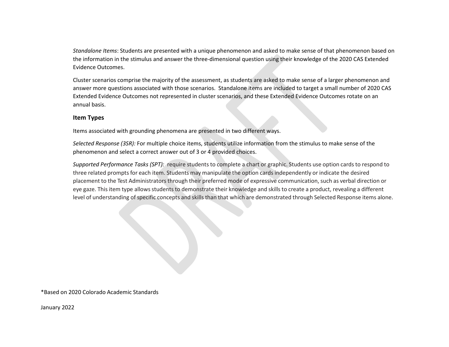*Standalone Items*: Students are presented with a unique phenomenon and asked to make sense of that phenomenon based on the information in the stimulus and answer the three-dimensional question using their knowledge of the 2020 CAS Extended Evidence Outcomes.

Cluster scenarios comprise the majority of the assessment, as students are asked to make sense of a larger phenomenon and answer more questions associated with those scenarios. Standalone items are included to target a small number of 2020 CAS Extended Evidence Outcomes not represented in cluster scenarios, and these Extended Evidence Outcomes rotate on an annual basis.

## **Item Types**

Items associated with grounding phenomena are presented in two different ways.

*Selected Response (3SR):* For multiple choice items, students utilize information from the stimulus to make sense of the phenomenon and select a correct answer out of 3 or 4 provided choices.

*Supported Performance Tasks (SPT):* require students to complete a chart or graphic. Students use option cards to respond to three related prompts for each item. Students may manipulate the option cards independently or indicate the desired placement to the Test Administratorsthrough their preferred mode of expressive communication, such as verbal direction or eye gaze. This item type allowsstudents to demonstrate their knowledge and skills to create a product, revealing a different level of understanding of specific concepts and skills than that which are demonstrated through Selected Response items alone.

\*Based on 2020 Colorado Academic Standards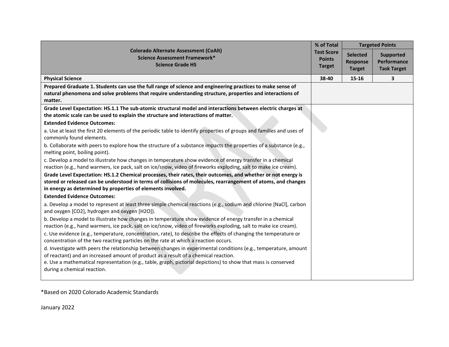|                                                                                                                                                                                                                                | % of Total                         | <b>Targeted Points</b> |                    |
|--------------------------------------------------------------------------------------------------------------------------------------------------------------------------------------------------------------------------------|------------------------------------|------------------------|--------------------|
| <b>Colorado Alternate Assessment (CoAlt)</b><br><b>Science Assessment Framework*</b>                                                                                                                                           | <b>Test Score</b><br><b>Points</b> | <b>Selected</b>        | <b>Supported</b>   |
| <b>Science Grade HS</b>                                                                                                                                                                                                        | <b>Target</b>                      | <b>Response</b>        | Performance        |
|                                                                                                                                                                                                                                |                                    | <b>Target</b>          | <b>Task Target</b> |
| <b>Physical Science</b>                                                                                                                                                                                                        | 38-40                              | 15-16                  | 3                  |
| Prepared Graduate 1. Students can use the full range of science and engineering practices to make sense of                                                                                                                     |                                    |                        |                    |
| natural phenomena and solve problems that require understanding structure, properties and interactions of<br>matter.                                                                                                           |                                    |                        |                    |
| Grade Level Expectation: HS.1.1 The sub-atomic structural model and interactions between electric charges at                                                                                                                   |                                    |                        |                    |
| the atomic scale can be used to explain the structure and interactions of matter.                                                                                                                                              |                                    |                        |                    |
| <b>Extended Evidence Outcomes:</b>                                                                                                                                                                                             |                                    |                        |                    |
| a. Use at least the first 20 elements of the periodic table to identify properties of groups and families and uses of                                                                                                          |                                    |                        |                    |
| commonly found elements.                                                                                                                                                                                                       |                                    |                        |                    |
| b. Collaborate with peers to explore how the structure of a substance impacts the properties of a substance (e.g.,<br>melting point, boiling point).                                                                           |                                    |                        |                    |
| c. Develop a model to illustrate how changes in temperature show evidence of energy transfer in a chemical<br>reaction (e.g., hand warmers, ice pack, salt on ice/snow, video of fireworks exploding, salt to make ice cream). |                                    |                        |                    |
| Grade Level Expectation: HS.1.2 Chemical processes, their rates, their outcomes, and whether or not energy is<br>stored or released can be understood in terms of collisions of molecules, rearrangement of atoms, and changes |                                    |                        |                    |
| in energy as determined by properties of elements involved.                                                                                                                                                                    |                                    |                        |                    |
| <b>Extended Evidence Outcomes:</b>                                                                                                                                                                                             |                                    |                        |                    |
| a. Develop a model to represent at least three simple chemical reactions (e.g., sodium and chlorine [NaCl], carbon<br>and oxygen [CO2], hydrogen and oxygen [H2O]).                                                            |                                    |                        |                    |
| b. Develop a model to illustrate how changes in temperature show evidence of energy transfer in a chemical                                                                                                                     |                                    |                        |                    |
| reaction (e.g., hand warmers, ice pack, salt on ice/snow, video of fireworks exploding, salt to make ice cream).                                                                                                               |                                    |                        |                    |
| c. Use evidence (e.g., temperature, concentration, rate), to describe the effects of changing the temperature or<br>concentration of the two reacting particles on the rate at which a reaction occurs.                        |                                    |                        |                    |
| d. Investigate with peers the relationship between changes in experimental conditions (e.g., temperature, amount                                                                                                               |                                    |                        |                    |
| of reactant) and an increased amount of product as a result of a chemical reaction.                                                                                                                                            |                                    |                        |                    |
| e. Use a mathematical representation (e.g., table, graph, pictorial depictions) to show that mass is conserved<br>during a chemical reaction.                                                                                  |                                    |                        |                    |
|                                                                                                                                                                                                                                |                                    |                        |                    |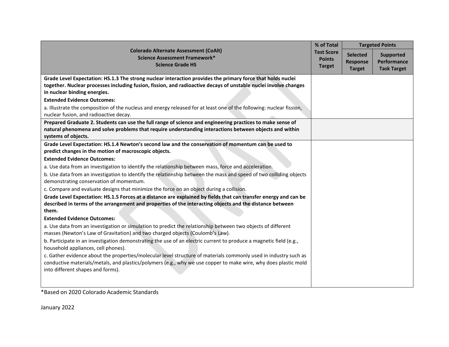|                                                                                                                                                                                                     | % of Total<br><b>Targeted Points</b> |                 |                    |
|-----------------------------------------------------------------------------------------------------------------------------------------------------------------------------------------------------|--------------------------------------|-----------------|--------------------|
| <b>Colorado Alternate Assessment (CoAlt)</b><br><b>Science Assessment Framework*</b>                                                                                                                | <b>Test Score</b>                    | <b>Selected</b> | <b>Supported</b>   |
| <b>Science Grade HS</b>                                                                                                                                                                             | <b>Points</b>                        | <b>Response</b> | Performance        |
|                                                                                                                                                                                                     | <b>Target</b>                        | <b>Target</b>   | <b>Task Target</b> |
| Grade Level Expectation: HS.1.3 The strong nuclear interaction provides the primary force that holds nuclei                                                                                         |                                      |                 |                    |
| together. Nuclear processes including fusion, fission, and radioactive decays of unstable nuclei involve changes                                                                                    |                                      |                 |                    |
| in nuclear binding energies.                                                                                                                                                                        |                                      |                 |                    |
| <b>Extended Evidence Outcomes:</b>                                                                                                                                                                  |                                      |                 |                    |
| a. Illustrate the composition of the nucleus and energy released for at least one of the following: nuclear fission,<br>nuclear fusion, and radioactive decay.                                      |                                      |                 |                    |
| Prepared Graduate 2. Students can use the full range of science and engineering practices to make sense of                                                                                          |                                      |                 |                    |
| natural phenomena and solve problems that require understanding interactions between objects and within<br>systems of objects.                                                                      |                                      |                 |                    |
| Grade Level Expectation: HS.1.4 Newton's second law and the conservation of momentum can be used to                                                                                                 |                                      |                 |                    |
| predict changes in the motion of macroscopic objects.                                                                                                                                               |                                      |                 |                    |
| <b>Extended Evidence Outcomes:</b>                                                                                                                                                                  |                                      |                 |                    |
| a. Use data from an investigation to identify the relationship between mass, force and acceleration.                                                                                                |                                      |                 |                    |
| b. Use data from an investigation to identify the relationship between the mass and speed of two colliding objects                                                                                  |                                      |                 |                    |
| demonstrating conservation of momentum.                                                                                                                                                             |                                      |                 |                    |
| c. Compare and evaluate designs that minimize the force on an object during a collision.                                                                                                            |                                      |                 |                    |
| Grade Level Expectation: HS.1.5 Forces at a distance are explained by fields that can transfer energy and can be                                                                                    |                                      |                 |                    |
| described in terms of the arrangement and properties of the interacting objects and the distance between                                                                                            |                                      |                 |                    |
| them.                                                                                                                                                                                               |                                      |                 |                    |
| <b>Extended Evidence Outcomes:</b>                                                                                                                                                                  |                                      |                 |                    |
| a. Use data from an investigation or simulation to predict the relationship between two objects of different                                                                                        |                                      |                 |                    |
| masses (Newton's Law of Gravitation) and two charged objects (Coulomb's Law).<br>b. Participate in an investigation demonstrating the use of an electric current to produce a magnetic field (e.g., |                                      |                 |                    |
| household appliances, cell phones).                                                                                                                                                                 |                                      |                 |                    |
| c. Gather evidence about the properties/molecular level structure of materials commonly used in industry such as                                                                                    |                                      |                 |                    |
| conductive materials/metals, and plastics/polymers (e.g., why we use copper to make wire, why does plastic mold<br>into different shapes and forms).                                                |                                      |                 |                    |
|                                                                                                                                                                                                     |                                      |                 |                    |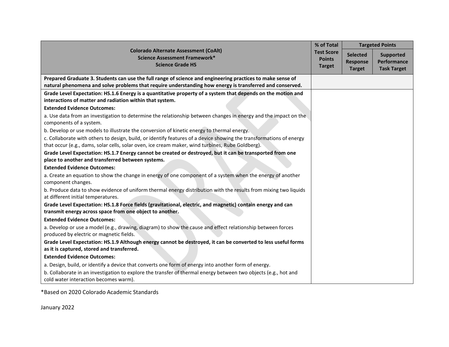|                                                                                                                                                                                                                         | % of Total        |                 | <b>Targeted Points</b> |
|-------------------------------------------------------------------------------------------------------------------------------------------------------------------------------------------------------------------------|-------------------|-----------------|------------------------|
| <b>Colorado Alternate Assessment (CoAlt)</b><br>Science Assessment Framework*                                                                                                                                           | <b>Test Score</b> | <b>Selected</b> | <b>Supported</b>       |
| <b>Science Grade HS</b>                                                                                                                                                                                                 | <b>Points</b>     | <b>Response</b> | <b>Performance</b>     |
|                                                                                                                                                                                                                         | <b>Target</b>     | <b>Target</b>   | <b>Task Target</b>     |
| Prepared Graduate 3. Students can use the full range of science and engineering practices to make sense of                                                                                                              |                   |                 |                        |
| natural phenomena and solve problems that require understanding how energy is transferred and conserved.                                                                                                                |                   |                 |                        |
| Grade Level Expectation: HS.1.6 Energy is a quantitative property of a system that depends on the motion and                                                                                                            |                   |                 |                        |
| interactions of matter and radiation within that system.                                                                                                                                                                |                   |                 |                        |
| <b>Extended Evidence Outcomes:</b>                                                                                                                                                                                      |                   |                 |                        |
| a. Use data from an investigation to determine the relationship between changes in energy and the impact on the<br>components of a system.                                                                              |                   |                 |                        |
| b. Develop or use models to illustrate the conversion of kinetic energy to thermal energy.                                                                                                                              |                   |                 |                        |
| c. Collaborate with others to design, build, or identify features of a device showing the transformations of energy<br>that occur (e.g., dams, solar cells, solar oven, ice cream maker, wind turbines, Rube Goldberg). |                   |                 |                        |
| Grade Level Expectation: HS.1.7 Energy cannot be created or destroyed, but it can be transported from one                                                                                                               |                   |                 |                        |
| place to another and transferred between systems.                                                                                                                                                                       |                   |                 |                        |
| <b>Extended Evidence Outcomes:</b>                                                                                                                                                                                      |                   |                 |                        |
| a. Create an equation to show the change in energy of one component of a system when the energy of another<br>component changes.                                                                                        |                   |                 |                        |
| b. Produce data to show evidence of uniform thermal energy distribution with the results from mixing two liquids<br>at different initial temperatures.                                                                  |                   |                 |                        |
| Grade Level Expectation: HS.1.8 Force fields (gravitational, electric, and magnetic) contain energy and can<br>transmit energy across space from one object to another.                                                 |                   |                 |                        |
| <b>Extended Evidence Outcomes:</b>                                                                                                                                                                                      |                   |                 |                        |
| a. Develop or use a model (e.g., drawing, diagram) to show the cause and effect relationship between forces                                                                                                             |                   |                 |                        |
| produced by electric or magnetic fields.                                                                                                                                                                                |                   |                 |                        |
| Grade Level Expectation: HS.1.9 Although energy cannot be destroyed, it can be converted to less useful forms                                                                                                           |                   |                 |                        |
| as it is captured, stored and transferred.                                                                                                                                                                              |                   |                 |                        |
| <b>Extended Evidence Outcomes:</b>                                                                                                                                                                                      |                   |                 |                        |
| a. Design, build, or identify a device that converts one form of energy into another form of energy.                                                                                                                    |                   |                 |                        |
| b. Collaborate in an investigation to explore the transfer of thermal energy between two objects (e.g., hot and<br>cold water interaction becomes warm).                                                                |                   |                 |                        |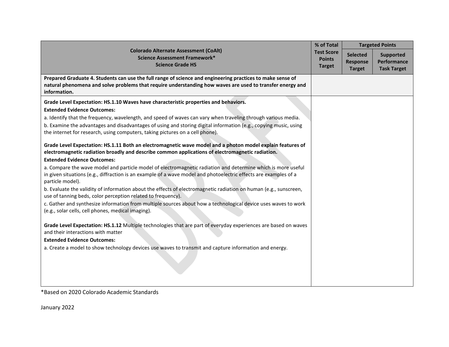|                                                                                                                                                                                                                                                      | % of Total                                          |                                              | <b>Targeted Points</b>                                |  |
|------------------------------------------------------------------------------------------------------------------------------------------------------------------------------------------------------------------------------------------------------|-----------------------------------------------------|----------------------------------------------|-------------------------------------------------------|--|
| <b>Colorado Alternate Assessment (CoAlt)</b><br>Science Assessment Framework*<br><b>Science Grade HS</b>                                                                                                                                             | <b>Test Score</b><br><b>Points</b><br><b>Target</b> | <b>Selected</b><br>Response<br><b>Target</b> | <b>Supported</b><br>Performance<br><b>Task Target</b> |  |
| Prepared Graduate 4. Students can use the full range of science and engineering practices to make sense of<br>natural phenomena and solve problems that require understanding how waves are used to transfer energy and<br>information.              |                                                     |                                              |                                                       |  |
| Grade Level Expectation: HS.1.10 Waves have characteristic properties and behaviors.                                                                                                                                                                 |                                                     |                                              |                                                       |  |
| <b>Extended Evidence Outcomes:</b>                                                                                                                                                                                                                   |                                                     |                                              |                                                       |  |
| a. Identify that the frequency, wavelength, and speed of waves can vary when traveling through various media.                                                                                                                                        |                                                     |                                              |                                                       |  |
| b. Examine the advantages and disadvantages of using and storing digital information (e.g., copying music, using<br>the internet for research, using computers, taking pictures on a cell phone).                                                    |                                                     |                                              |                                                       |  |
| Grade Level Expectation: HS.1.11 Both an electromagnetic wave model and a photon model explain features of<br>electromagnetic radiation broadly and describe common applications of electromagnetic radiation.                                       |                                                     |                                              |                                                       |  |
| <b>Extended Evidence Outcomes:</b>                                                                                                                                                                                                                   |                                                     |                                              |                                                       |  |
| a. Compare the wave model and particle model of electromagnetic radiation and determine which is more useful<br>in given situations (e.g., diffraction is an example of a wave model and photoelectric effects are examples of a<br>particle model). |                                                     |                                              |                                                       |  |
| b. Evaluate the validity of information about the effects of electromagnetic radiation on human (e.g., sunscreen,<br>use of tanning beds, color perception related to frequency).                                                                    |                                                     |                                              |                                                       |  |
| c. Gather and synthesize information from multiple sources about how a technological device uses waves to work<br>(e.g., solar cells, cell phones, medical imaging).                                                                                 |                                                     |                                              |                                                       |  |
| Grade Level Expectation: HS.1.12 Multiple technologies that are part of everyday experiences are based on waves<br>and their interactions with matter                                                                                                |                                                     |                                              |                                                       |  |
| <b>Extended Evidence Outcomes:</b>                                                                                                                                                                                                                   |                                                     |                                              |                                                       |  |
| a. Create a model to show technology devices use waves to transmit and capture information and energy.                                                                                                                                               |                                                     |                                              |                                                       |  |
|                                                                                                                                                                                                                                                      |                                                     |                                              |                                                       |  |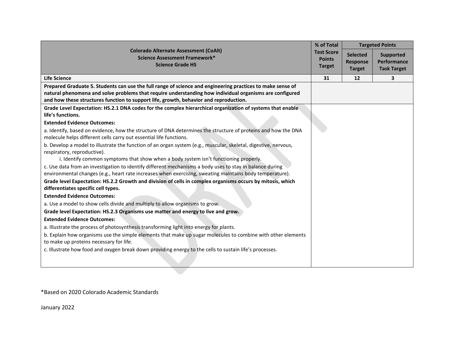|                                                                                                                                                                                                                      | % of Total<br><b>Targeted Points</b> |                 |                    |
|----------------------------------------------------------------------------------------------------------------------------------------------------------------------------------------------------------------------|--------------------------------------|-----------------|--------------------|
| <b>Colorado Alternate Assessment (CoAlt)</b><br>Science Assessment Framework*                                                                                                                                        | <b>Test Score</b>                    | <b>Selected</b> | <b>Supported</b>   |
| <b>Science Grade HS</b>                                                                                                                                                                                              | <b>Points</b>                        | <b>Response</b> | Performance        |
|                                                                                                                                                                                                                      | <b>Target</b>                        | <b>Target</b>   | <b>Task Target</b> |
| <b>Life Science</b>                                                                                                                                                                                                  | 31                                   | 12              | 3                  |
| Prepared Graduate 5. Students can use the full range of science and engineering practices to make sense of                                                                                                           |                                      |                 |                    |
| natural phenomena and solve problems that require understanding how individual organisms are configured                                                                                                              |                                      |                 |                    |
| and how these structures function to support life, growth, behavior and reproduction.                                                                                                                                |                                      |                 |                    |
| Grade Level Expectation: HS.2.1 DNA codes for the complex hierarchical organization of systems that enable                                                                                                           |                                      |                 |                    |
| life's functions.                                                                                                                                                                                                    |                                      |                 |                    |
| <b>Extended Evidence Outcomes:</b>                                                                                                                                                                                   |                                      |                 |                    |
| a. Identify, based on evidence, how the structure of DNA determines the structure of proteins and how the DNA<br>molecule helps different cells carry out essential life functions.                                  |                                      |                 |                    |
| b. Develop a model to illustrate the function of an organ system (e.g., muscular, skeletal, digestive, nervous,<br>respiratory, reproductive).                                                                       |                                      |                 |                    |
| i. Identify common symptoms that show when a body system isn't functioning properly.                                                                                                                                 |                                      |                 |                    |
| c. Use data from an investigation to identify different mechanisms a body uses to stay in balance during<br>environmental changes (e.g., heart rate increases when exercising, sweating maintains body temperature). |                                      |                 |                    |
| Grade level Expectation: HS.2.2 Growth and division of cells in complex organisms occurs by mitosis, which<br>differentiates specific cell types.                                                                    |                                      |                 |                    |
| <b>Extended Evidence Outcomes:</b>                                                                                                                                                                                   |                                      |                 |                    |
| a. Use a model to show cells divide and multiply to allow organisms to grow.                                                                                                                                         |                                      |                 |                    |
| Grade level Expectation: HS.2.3 Organisms use matter and energy to live and grow.                                                                                                                                    |                                      |                 |                    |
| <b>Extended Evidence Outcomes:</b>                                                                                                                                                                                   |                                      |                 |                    |
| a. Illustrate the process of photosynthesis transforming light into energy for plants.                                                                                                                               |                                      |                 |                    |
| b. Explain how organisms use the simple elements that make up sugar molecules to combine with other elements                                                                                                         |                                      |                 |                    |
| to make up proteins necessary for life.                                                                                                                                                                              |                                      |                 |                    |
| c. Illustrate how food and oxygen break down providing energy to the cells to sustain life's processes.                                                                                                              |                                      |                 |                    |
|                                                                                                                                                                                                                      |                                      |                 |                    |
|                                                                                                                                                                                                                      |                                      |                 |                    |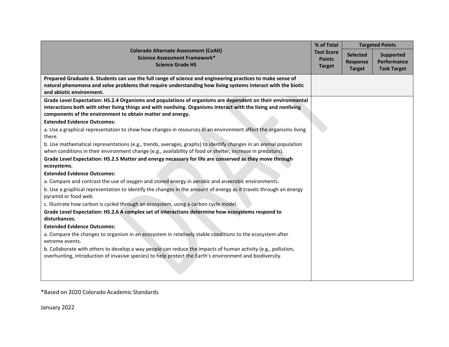|                                                                                                                                           | % of Total        | <b>Targeted Points</b> |                    |
|-------------------------------------------------------------------------------------------------------------------------------------------|-------------------|------------------------|--------------------|
| <b>Colorado Alternate Assessment (CoAlt)</b><br><b>Science Assessment Framework*</b>                                                      | <b>Test Score</b> | <b>Selected</b>        | <b>Supported</b>   |
| <b>Science Grade HS</b>                                                                                                                   | <b>Points</b>     | <b>Response</b>        | Performance        |
|                                                                                                                                           | <b>Target</b>     | <b>Target</b>          | <b>Task Target</b> |
| Prepared Graduate 6. Students can use the full range of science and engineering practices to make sense of                                |                   |                        |                    |
| natural phenomena and solve problems that require understanding how living systems interact with the biotic                               |                   |                        |                    |
| and abiotic environment.                                                                                                                  |                   |                        |                    |
| Grade Level Expectation: HS.2.4 Organisms and populations of organisms are dependent on their environmental                               |                   |                        |                    |
| interactions both with other living things and with nonliving. Organisms interact with the living and nonliving                           |                   |                        |                    |
| components of the environment to obtain matter and energy.                                                                                |                   |                        |                    |
| <b>Extended Evidence Outcomes:</b>                                                                                                        |                   |                        |                    |
| a. Use a graphical representation to show how changes in resources in an environment affect the organisms living<br>there.                |                   |                        |                    |
| b. Use mathematical representations (e.g., trends, averages, graphs) to identify changes in an animal population                          |                   |                        |                    |
| when conditions in their environment change (e.g., availability of food or shelter, increase in predators).                               |                   |                        |                    |
| Grade Level Expectation: HS.2.5 Matter and energy necessary for life are conserved as they move through                                   |                   |                        |                    |
| ecosystems.                                                                                                                               |                   |                        |                    |
| <b>Extended Evidence Outcomes:</b>                                                                                                        |                   |                        |                    |
| a. Compare and contrast the use of oxygen and stored energy in aerobic and anaerobic environments.                                        |                   |                        |                    |
| b. Use a graphical representation to identify the changes in the amount of energy as it travels through an energy<br>pyramid or food web. |                   |                        |                    |
| c. Illustrate how carbon is cycled through an ecosystem, using a carbon cycle model.                                                      |                   |                        |                    |
| Grade Level Expectation: HS.2.6 A complex set of interactions determine how ecosystems respond to                                         |                   |                        |                    |
| disturbances.                                                                                                                             |                   |                        |                    |
| <b>Extended Evidence Outcomes:</b>                                                                                                        |                   |                        |                    |
| a. Compare the changes to organism in an ecosystem in relatively stable conditions to the ecosystem after                                 |                   |                        |                    |
| extreme events.                                                                                                                           |                   |                        |                    |
| b. Collaborate with others to develop a way people can reduce the impacts of human activity (e.g., pollution,                             |                   |                        |                    |
| overhunting, introduction of invasive species) to help protect the Earth's environment and biodiversity.                                  |                   |                        |                    |
|                                                                                                                                           |                   |                        |                    |
|                                                                                                                                           |                   |                        |                    |
|                                                                                                                                           |                   |                        |                    |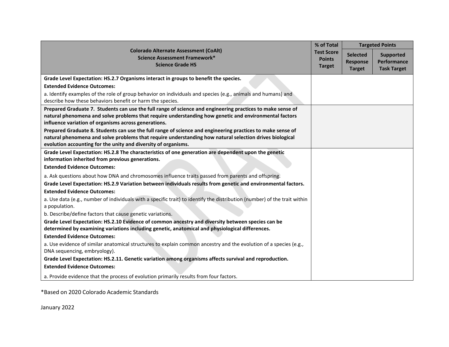|                                                                                                                                                                                                      | % of Total        | <b>Targeted Points</b> |                    |
|------------------------------------------------------------------------------------------------------------------------------------------------------------------------------------------------------|-------------------|------------------------|--------------------|
| <b>Colorado Alternate Assessment (CoAlt)</b><br>Science Assessment Framework*                                                                                                                        | <b>Test Score</b> | <b>Selected</b>        | <b>Supported</b>   |
| <b>Science Grade HS</b>                                                                                                                                                                              | <b>Points</b>     | <b>Response</b>        | Performance        |
|                                                                                                                                                                                                      | <b>Target</b>     | <b>Target</b>          | <b>Task Target</b> |
| Grade Level Expectation: HS.2.7 Organisms interact in groups to benefit the species.                                                                                                                 |                   |                        |                    |
| <b>Extended Evidence Outcomes:</b>                                                                                                                                                                   |                   |                        |                    |
| a. Identify examples of the role of group behavior on individuals and species (e.g., animals and humans) and                                                                                         |                   |                        |                    |
| describe how these behaviors benefit or harm the species.                                                                                                                                            |                   |                        |                    |
| Prepared Graduate 7. Students can use the full range of science and engineering practices to make sense of                                                                                           |                   |                        |                    |
| natural phenomena and solve problems that require understanding how genetic and environmental factors<br>influence variation of organisms across generations.                                        |                   |                        |                    |
| Prepared Graduate 8. Students can use the full range of science and engineering practices to make sense of                                                                                           |                   |                        |                    |
| natural phenomena and solve problems that require understanding how natural selection drives biological                                                                                              |                   |                        |                    |
| evolution accounting for the unity and diversity of organisms.                                                                                                                                       |                   |                        |                    |
| Grade Level Expectation: HS.2.8 The characteristics of one generation are dependent upon the genetic                                                                                                 |                   |                        |                    |
| information inherited from previous generations.                                                                                                                                                     |                   |                        |                    |
| <b>Extended Evidence Outcomes:</b>                                                                                                                                                                   |                   |                        |                    |
| a. Ask questions about how DNA and chromosomes influence traits passed from parents and offspring.                                                                                                   |                   |                        |                    |
| Grade Level Expectation: HS.2.9 Variation between individuals results from genetic and environmental factors.                                                                                        |                   |                        |                    |
| <b>Extended Evidence Outcomes:</b>                                                                                                                                                                   |                   |                        |                    |
| a. Use data (e.g., number of individuals with a specific trait) to identify the distribution (number) of the trait within                                                                            |                   |                        |                    |
| a population.                                                                                                                                                                                        |                   |                        |                    |
| b. Describe/define factors that cause genetic variations.                                                                                                                                            |                   |                        |                    |
| Grade Level Expectation: HS.2.10 Evidence of common ancestry and diversity between species can be<br>determined by examining variations including genetic, anatomical and physiological differences. |                   |                        |                    |
| <b>Extended Evidence Outcomes:</b>                                                                                                                                                                   |                   |                        |                    |
| a. Use evidence of similar anatomical structures to explain common ancestry and the evolution of a species (e.g.,<br>DNA sequencing, embryology).                                                    |                   |                        |                    |
| Grade Level Expectation: HS.2.11. Genetic variation among organisms affects survival and reproduction.                                                                                               |                   |                        |                    |
| <b>Extended Evidence Outcomes:</b>                                                                                                                                                                   |                   |                        |                    |
| a. Provide evidence that the process of evolution primarily results from four factors.                                                                                                               |                   |                        |                    |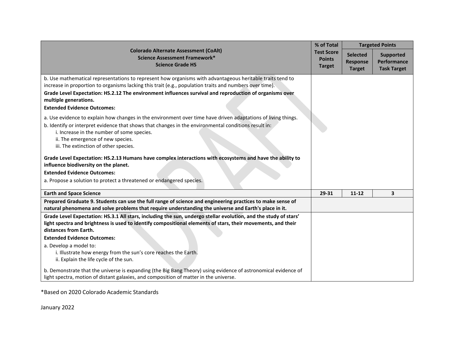|                                                                                                                                                                                                                                                                                                                                                                                                                                                                                                                 | % of Total                                          |                                                     | <b>Targeted Points</b>                         |
|-----------------------------------------------------------------------------------------------------------------------------------------------------------------------------------------------------------------------------------------------------------------------------------------------------------------------------------------------------------------------------------------------------------------------------------------------------------------------------------------------------------------|-----------------------------------------------------|-----------------------------------------------------|------------------------------------------------|
| <b>Colorado Alternate Assessment (CoAlt)</b><br><b>Science Assessment Framework*</b><br><b>Science Grade HS</b>                                                                                                                                                                                                                                                                                                                                                                                                 | <b>Test Score</b><br><b>Points</b><br><b>Target</b> | <b>Selected</b><br><b>Response</b><br><b>Target</b> | Supported<br>Performance<br><b>Task Target</b> |
| b. Use mathematical representations to represent how organisms with advantageous heritable traits tend to<br>increase in proportion to organisms lacking this trait (e.g., population traits and numbers over time).<br>Grade Level Expectation: HS.2.12 The environment influences survival and reproduction of organisms over<br>multiple generations.<br><b>Extended Evidence Outcomes:</b><br>a. Use evidence to explain how changes in the environment over time have driven adaptations of living things. |                                                     |                                                     |                                                |
| b. Identify or interpret evidence that shows that changes in the environmental conditions result in:<br>i. Increase in the number of some species.<br>ii. The emergence of new species.<br>iii. The extinction of other species.                                                                                                                                                                                                                                                                                |                                                     |                                                     |                                                |
| Grade Level Expectation: HS.2.13 Humans have complex interactions with ecosystems and have the ability to                                                                                                                                                                                                                                                                                                                                                                                                       |                                                     |                                                     |                                                |
| influence biodiversity on the planet.                                                                                                                                                                                                                                                                                                                                                                                                                                                                           |                                                     |                                                     |                                                |
| <b>Extended Evidence Outcomes:</b>                                                                                                                                                                                                                                                                                                                                                                                                                                                                              |                                                     |                                                     |                                                |
| a. Propose a solution to protect a threatened or endangered species.                                                                                                                                                                                                                                                                                                                                                                                                                                            |                                                     |                                                     |                                                |
| <b>Earth and Space Science</b>                                                                                                                                                                                                                                                                                                                                                                                                                                                                                  | 29-31                                               | $11 - 12$                                           | 3                                              |
| Prepared Graduate 9. Students can use the full range of science and engineering practices to make sense of                                                                                                                                                                                                                                                                                                                                                                                                      |                                                     |                                                     |                                                |
| natural phenomena and solve problems that require understanding the universe and Earth's place in it.                                                                                                                                                                                                                                                                                                                                                                                                           |                                                     |                                                     |                                                |
| Grade Level Expectation: HS.3.1 All stars, including the sun, undergo stellar evolution, and the study of stars'<br>light spectra and brightness is used to identify compositional elements of stars, their movements, and their<br>distances from Earth.                                                                                                                                                                                                                                                       |                                                     |                                                     |                                                |
| <b>Extended Evidence Outcomes:</b>                                                                                                                                                                                                                                                                                                                                                                                                                                                                              |                                                     |                                                     |                                                |
| a. Develop a model to:<br>i. Illustrate how energy from the sun's core reaches the Earth.<br>ii. Explain the life cycle of the sun.                                                                                                                                                                                                                                                                                                                                                                             |                                                     |                                                     |                                                |
| b. Demonstrate that the universe is expanding (the Big Bang Theory) using evidence of astronomical evidence of<br>light spectra, motion of distant galaxies, and composition of matter in the universe.                                                                                                                                                                                                                                                                                                         |                                                     |                                                     |                                                |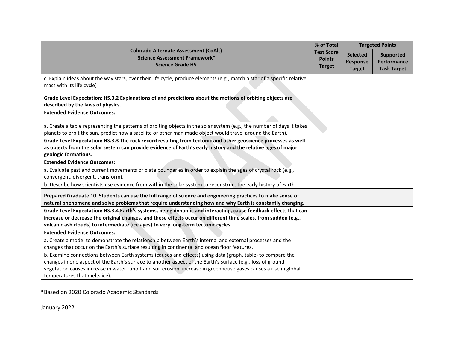|                                                                                                                                                                                                                                                         | % of Total                         | <b>Targeted Points</b>             |                                 |
|---------------------------------------------------------------------------------------------------------------------------------------------------------------------------------------------------------------------------------------------------------|------------------------------------|------------------------------------|---------------------------------|
| <b>Colorado Alternate Assessment (CoAlt)</b><br>Science Assessment Framework*                                                                                                                                                                           | <b>Test Score</b><br><b>Points</b> | <b>Selected</b><br><b>Response</b> | <b>Supported</b><br>Performance |
| <b>Science Grade HS</b>                                                                                                                                                                                                                                 | <b>Target</b>                      | <b>Target</b>                      | <b>Task Target</b>              |
| c. Explain ideas about the way stars, over their life cycle, produce elements (e.g., match a star of a specific relative<br>mass with its life cycle)                                                                                                   |                                    |                                    |                                 |
| Grade Level Expectation: HS.3.2 Explanations of and predictions about the motions of orbiting objects are<br>described by the laws of physics.                                                                                                          |                                    |                                    |                                 |
| <b>Extended Evidence Outcomes:</b>                                                                                                                                                                                                                      |                                    |                                    |                                 |
| a. Create a table representing the patterns of orbiting objects in the solar system (e.g., the number of days it takes<br>planets to orbit the sun, predict how a satellite or other man made object would travel around the Earth).                    |                                    |                                    |                                 |
| Grade Level Expectation: HS.3.3 The rock record resulting from tectonic and other geoscience processes as well<br>as objects from the solar system can provide evidence of Earth's early history and the relative ages of major<br>geologic formations. |                                    |                                    |                                 |
| <b>Extended Evidence Outcomes:</b>                                                                                                                                                                                                                      |                                    |                                    |                                 |
| a. Evaluate past and current movements of plate boundaries in order to explain the ages of crystal rock (e.g.,<br>convergent, divergent, transform).                                                                                                    |                                    |                                    |                                 |
| b. Describe how scientists use evidence from within the solar system to reconstruct the early history of Earth.                                                                                                                                         |                                    |                                    |                                 |
| Prepared Graduate 10. Students can use the full range of science and engineering practices to make sense of<br>natural phenomena and solve problems that require understanding how and why Earth is constantly changing.                                |                                    |                                    |                                 |
| Grade Level Expectation: HS.3.4 Earth's systems, being dynamic and interacting, cause feedback effects that can                                                                                                                                         |                                    |                                    |                                 |
| increase or decrease the original changes, and these effects occur on different time scales, from sudden (e.g.,                                                                                                                                         |                                    |                                    |                                 |
| volcanic ash clouds) to intermediate (ice ages) to very long-term tectonic cycles.                                                                                                                                                                      |                                    |                                    |                                 |
| <b>Extended Evidence Outcomes:</b>                                                                                                                                                                                                                      |                                    |                                    |                                 |
| a. Create a model to demonstrate the relationship between Earth's internal and external processes and the                                                                                                                                               |                                    |                                    |                                 |
| changes that occur on the Earth's surface resulting in continental and ocean floor features.                                                                                                                                                            |                                    |                                    |                                 |
| b. Examine connections between Earth systems (causes and effects) using data (graph, table) to compare the                                                                                                                                              |                                    |                                    |                                 |
| changes in one aspect of the Earth's surface to another aspect of the Earth's surface (e.g., loss of ground                                                                                                                                             |                                    |                                    |                                 |
| vegetation causes increase in water runoff and soil erosion, increase in greenhouse gases causes a rise in global<br>temperatures that melts ice).                                                                                                      |                                    |                                    |                                 |
|                                                                                                                                                                                                                                                         |                                    |                                    |                                 |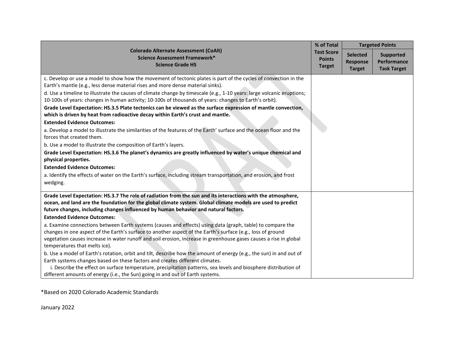|                                                                                                                                                                                                                                                                                                                                                                                                                                                                                                                                                                                                                                                                                                                                                                                                                                                                                                                                                                                                                                                                                                                                                                                                                       | % of Total                                          |                                                     | <b>Targeted Points</b>                                |
|-----------------------------------------------------------------------------------------------------------------------------------------------------------------------------------------------------------------------------------------------------------------------------------------------------------------------------------------------------------------------------------------------------------------------------------------------------------------------------------------------------------------------------------------------------------------------------------------------------------------------------------------------------------------------------------------------------------------------------------------------------------------------------------------------------------------------------------------------------------------------------------------------------------------------------------------------------------------------------------------------------------------------------------------------------------------------------------------------------------------------------------------------------------------------------------------------------------------------|-----------------------------------------------------|-----------------------------------------------------|-------------------------------------------------------|
| <b>Colorado Alternate Assessment (CoAlt)</b><br>Science Assessment Framework*<br><b>Science Grade HS</b>                                                                                                                                                                                                                                                                                                                                                                                                                                                                                                                                                                                                                                                                                                                                                                                                                                                                                                                                                                                                                                                                                                              | <b>Test Score</b><br><b>Points</b><br><b>Target</b> | <b>Selected</b><br><b>Response</b><br><b>Target</b> | <b>Supported</b><br>Performance<br><b>Task Target</b> |
| c. Develop or use a model to show how the movement of tectonic plates is part of the cycles of convection in the<br>Earth's mantle (e.g., less dense material rises and more dense material sinks).<br>d. Use a timeline to illustrate the causes of climate change by timescale (e.g., 1-10 years: large volcanic eruptions;<br>10-100s of years: changes in human activity; 10-100s of thousands of years: changes to Earth's orbit).<br>Grade Level Expectation: HS.3.5 Plate tectonics can be viewed as the surface expression of mantle convection,<br>which is driven by heat from radioactive decay within Earth's crust and mantle.<br><b>Extended Evidence Outcomes:</b><br>a. Develop a model to illustrate the similarities of the features of the Earth' surface and the ocean floor and the<br>forces that created them.<br>b. Use a model to illustrate the composition of Earth's layers.<br>Grade Level Expectation: HS.3.6 The planet's dynamics are greatly influenced by water's unique chemical and<br>physical properties.<br><b>Extended Evidence Outcomes:</b><br>a. Identify the effects of water on the Earth's surface, including stream transportation, and erosion, and frost<br>wedging. |                                                     |                                                     |                                                       |
| Grade Level Expectation: HS.3.7 The role of radiation from the sun and its interactions with the atmosphere,<br>ocean, and land are the foundation for the global climate system. Global climate models are used to predict<br>future changes, including changes influenced by human behavior and natural factors.<br><b>Extended Evidence Outcomes:</b><br>a. Examine connections between Earth systems (causes and effects) using data (graph, table) to compare the<br>changes in one aspect of the Earth's surface to another aspect of the Earth's surface (e.g., loss of ground<br>vegetation causes increase in water runoff and soil erosion, increase in greenhouse gases causes a rise in global<br>temperatures that melts ice).<br>b. Use a model of Earth's rotation, orbit and tilt, describe how the amount of energy (e.g., the sun) in and out of<br>Earth systems changes based on these factors and creates different climates.<br>i. Describe the effect on surface temperature, precipitation patterns, sea levels and biosphere distribution of<br>different amounts of energy (i.e., the Sun) going in and out of Earth systems.                                                               |                                                     |                                                     |                                                       |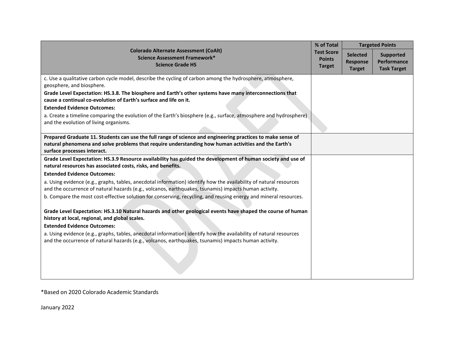|                                                                                                                                                                                                                                                    | % of Total                                          |                                              | <b>Targeted Points</b>                                |
|----------------------------------------------------------------------------------------------------------------------------------------------------------------------------------------------------------------------------------------------------|-----------------------------------------------------|----------------------------------------------|-------------------------------------------------------|
| <b>Colorado Alternate Assessment (CoAlt)</b><br>Science Assessment Framework*<br><b>Science Grade HS</b>                                                                                                                                           | <b>Test Score</b><br><b>Points</b><br><b>Target</b> | <b>Selected</b><br>Response<br><b>Target</b> | <b>Supported</b><br>Performance<br><b>Task Target</b> |
| c. Use a qualitative carbon cycle model, describe the cycling of carbon among the hydrosphere, atmosphere,<br>geosphere, and biosphere.                                                                                                            |                                                     |                                              |                                                       |
| Grade Level Expectation: HS.3.8. The biosphere and Earth's other systems have many interconnections that<br>cause a continual co-evolution of Earth's surface and life on it.                                                                      |                                                     |                                              |                                                       |
| <b>Extended Evidence Outcomes:</b>                                                                                                                                                                                                                 |                                                     |                                              |                                                       |
| a. Create a timeline comparing the evolution of the Earth's biosphere (e.g., surface, atmosphere and hydrosphere)<br>and the evolution of living organisms.                                                                                        |                                                     |                                              |                                                       |
| Prepared Graduate 11. Students can use the full range of science and engineering practices to make sense of<br>natural phenomena and solve problems that require understanding how human activities and the Earth's<br>surface processes interact. |                                                     |                                              |                                                       |
| Grade Level Expectation: HS.3.9 Resource availability has guided the development of human society and use of<br>natural resources has associated costs, risks, and benefits.                                                                       |                                                     |                                              |                                                       |
| <b>Extended Evidence Outcomes:</b>                                                                                                                                                                                                                 |                                                     |                                              |                                                       |
| a. Using evidence (e.g., graphs, tables, anecdotal information) identify how the availability of natural resources<br>and the occurrence of natural hazards (e.g., volcanos, earthquakes, tsunamis) impacts human activity.                        |                                                     |                                              |                                                       |
| b. Compare the most cost-effective solution for conserving, recycling, and reusing energy and mineral resources.                                                                                                                                   |                                                     |                                              |                                                       |
| Grade Level Expectation: HS.3.10 Natural hazards and other geological events have shaped the course of human<br>history at local, regional, and global scales.                                                                                     |                                                     |                                              |                                                       |
| <b>Extended Evidence Outcomes:</b>                                                                                                                                                                                                                 |                                                     |                                              |                                                       |
| a. Using evidence (e.g., graphs, tables, anecdotal information) identify how the availability of natural resources                                                                                                                                 |                                                     |                                              |                                                       |
| and the occurrence of natural hazards (e.g., volcanos, earthquakes, tsunamis) impacts human activity.                                                                                                                                              |                                                     |                                              |                                                       |
|                                                                                                                                                                                                                                                    |                                                     |                                              |                                                       |
|                                                                                                                                                                                                                                                    |                                                     |                                              |                                                       |
|                                                                                                                                                                                                                                                    |                                                     |                                              |                                                       |